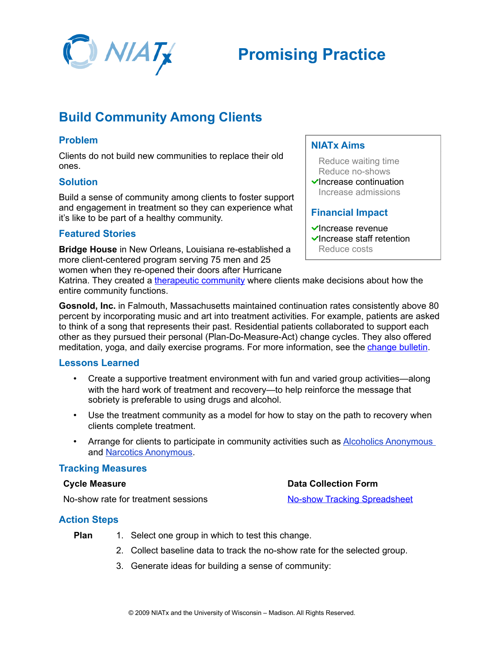

# **Promising Practice**

# **Build Community Among Clients**

## **Problem**

Clients do not build new communities to replace their old ones.

#### **Solution**

Build a sense of community among clients to foster support and engagement in treatment so they can experience what it's like to be part of a healthy community.

# **Featured Stories**

**Bridge House** in New Orleans, Louisiana re-established a more client-centered program serving 75 men and 25 women when they re-opened their doors after Hurricane

#### **NIATx Aims**

Reduce waiting time Reduce no-shows

 $\checkmark$ Increase continuation Increase admissions

#### **Financial Impact**

**Data Collection Form**

[No-show Tracking Spreadsheet](http://www.niatx.net/toolkits/provider/NoShowTrackingSpreadsheet.xls)

 $\checkmark$ Increase revenue

 $\checkmark$  Increase staff retention Reduce costs

Katrina. They created a [therapeutic community](http://www.niatx.net/toolkits/provider/BridgeHouseToriello.pdf) where clients make decisions about how the entire community functions.

**Gosnold, Inc.** in Falmouth, Massachusetts maintained continuation rates consistently above 80 percent by incorporating music and art into treatment activities. For example, patients are asked to think of a song that represents their past. Residential patients collaborated to support each other as they pursued their personal (Plan-Do-Measure-Act) change cycles. They also offered meditation, yoga, and daily exercise programs. For more information, see the [change bulletin.](http://www.niatx.net/toolkits/provider/GosnoldChangeBulletin.pdf)

#### **Lessons Learned**

- Create a supportive treatment environment with fun and varied group activities—along with the hard work of treatment and recovery—to help reinforce the message that sobriety is preferable to using drugs and alcohol.
- Use the treatment community as a model for how to stay on the path to recovery when clients complete treatment.
- Arrange for clients to participate in community activities such as [Alcoholics Anonymous](http://www.aa.org/) and **Narcotics Anonymous**.

#### **Tracking Measures**

#### **Cycle Measure**

No-show rate for treatment sessions

#### **Action Steps**

- **Plan** 1. Select one group in which to test this change.
	- 2. Collect baseline data to track the no-show rate for the selected group.
	- 3. Generate ideas for building a sense of community: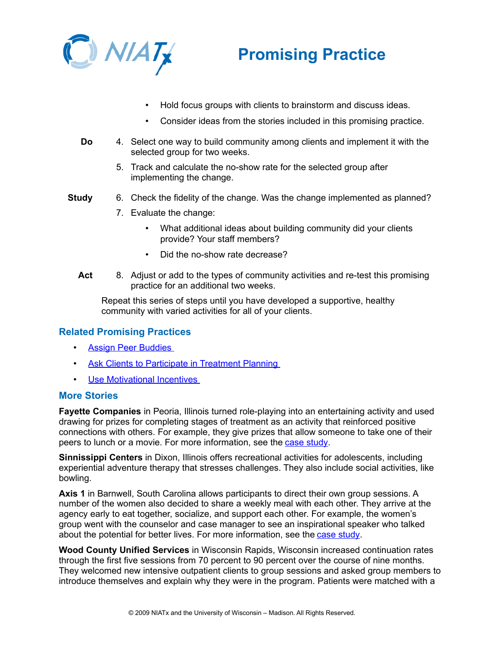



- Hold focus groups with clients to brainstorm and discuss ideas.
- Consider ideas from the stories included in this promising practice.
- **Do** 4. Select one way to build community among clients and implement it with the selected group for two weeks.
	- 5. Track and calculate the no-show rate for the selected group after implementing the change.
- **Study** 6. Check the fidelity of the change. Was the change implemented as planned?
	- 7. Evaluate the change:
		- What additional ideas about building community did your clients provide? Your staff members?
		- Did the no-show rate decrease?
	- **Act** 8. Adjust or add to the types of community activities and re-test this promising practice for an additional two weeks.

Repeat this series of steps until you have developed a supportive, healthy community with varied activities for all of your clients.

## **Related Promising Practices**

- • [Assign Peer Buddies](http://www.niatx.net/toolkits/provider/PP_AssignPeerBuddies.pdf)
- [Ask Clients to Participate in Treatment Planning](http://www.niatx.net/toolkits/provider/PP_ClientsParticipateTreatment.pdf)
- • [Use Motivational Incentives](http://www.niatx.net/toolkits/provider/PP_UseMotivationalIncentives.pdf)

#### **More Stories**

**Fayette Companies** in Peoria, Illinois turned role-playing into an entertaining activity and used drawing for prizes for completing stages of treatment as an activity that reinforced positive connections with others. For example, they give prizes that allow someone to take one of their peers to lunch or a movie. For more information, see the [case study.](http://www.niatx.net/toolkits/provider/fayette.pdf)

**Sinnissippi Centers** in Dixon, Illinois offers recreational activities for adolescents, including experiential adventure therapy that stresses challenges. They also include social activities, like bowling.

**Axis 1** in Barnwell, South Carolina allows participants to direct their own group sessions. A number of the women also decided to share a weekly meal with each other. They arrive at the agency early to eat together, socialize, and support each other. For example, the women's group went with the counselor and case manager to see an inspirational speaker who talked about the potential for better lives. For more information, see the [case study.](http://www.niatx.net/toolkits/provider/axis.pdf)

**Wood County Unified Services** in Wisconsin Rapids, Wisconsin increased continuation rates through the first five sessions from 70 percent to 90 percent over the course of nine months. They welcomed new intensive outpatient clients to group sessions and asked group members to introduce themselves and explain why they were in the program. Patients were matched with a